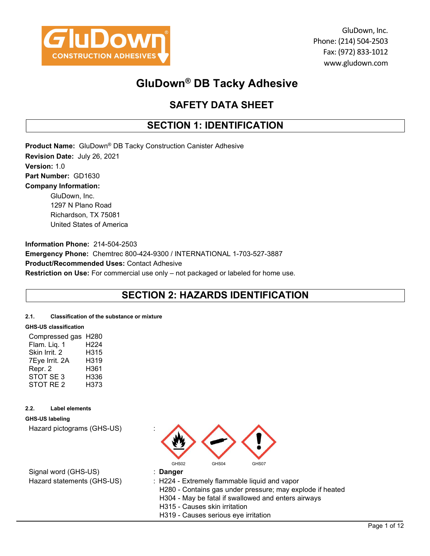

## GluDown® DB Tacky Adhesive

### SAFETY DATA SHEET

### SECTION 1: IDENTIFICATION

Product Name: GluDown® DB Tacky Construction Canister Adhesive Revision Date: July 26, 2021 Version: 1.0 Part Number: GD1630 Company Information: GluDown, Inc. 1297 N Plano Road Richardson, TX 75081 United States of America

Information Phone: 214-504-2503 Emergency Phone: Chemtrec 800-424-9300 / INTERNATIONAL 1-703-527-3887 Product/Recommended Uses: Contact Adhesive Restriction on Use: For commercial use only – not packaged or labeled for home use.

### SECTION 2: HAZARDS IDENTIFICATION

#### 2.1. Classification of the substance or mixture

#### GHS-US classification

| Compressed gas H280  |                  |
|----------------------|------------------|
| Flam. Liq. 1         | H <sub>224</sub> |
| Skin Irrit. 2        | H315             |
| 7Eye Irrit. 2A       | H319             |
| Repr. 2              | H361             |
| STOT SE <sub>3</sub> | H336             |
| STOT RE 2            | H373             |

#### 2.2. Label elements

| GHS-US labeling            |  |
|----------------------------|--|
| Hazard pictograms (GHS-US) |  |

Signal word (GHS-US) : Danger



- Hazard statements (GHS-US) : H224 Extremely flammable liquid and vapor
	- H280 Contains gas under pressure; may explode if heated
	- H304 May be fatal if swallowed and enters airways
	- H315 Causes skin irritation
	- H319 Causes serious eye irritation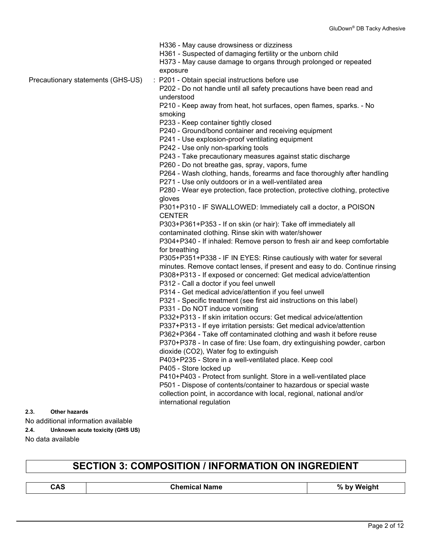H336 - May cause drowsiness or dizziness

H361 - Suspected of damaging fertility or the unborn child

H373 - May cause damage to organs through prolonged or repeated exposure

Precautionary statements (GHS-US) : P201 - Obtain special instructions before use

P202 - Do not handle until all safety precautions have been read and understood

P210 - Keep away from heat, hot surfaces, open flames, sparks. - No smoking

P233 - Keep container tightly closed

P240 - Ground/bond container and receiving equipment

P241 - Use explosion-proof ventilating equipment

P242 - Use only non-sparking tools

P243 - Take precautionary measures against static discharge

P260 - Do not breathe gas, spray, vapors, fume

P264 - Wash clothing, hands, forearms and face thoroughly after handling

P271 - Use only outdoors or in a well-ventilated area

P280 - Wear eye protection, face protection, protective clothing, protective gloves

P301+P310 - IF SWALLOWED: Immediately call a doctor, a POISON **CENTER** 

P303+P361+P353 - If on skin (or hair): Take off immediately all contaminated clothing. Rinse skin with water/shower

P304+P340 - If inhaled: Remove person to fresh air and keep comfortable for breathing

P305+P351+P338 - IF IN EYES: Rinse cautiously with water for several minutes. Remove contact lenses, if present and easy to do. Continue rinsing P308+P313 - If exposed or concerned: Get medical advice/attention

P312 - Call a doctor if you feel unwell

P314 - Get medical advice/attention if you feel unwell

P321 - Specific treatment (see first aid instructions on this label)

P331 - Do NOT induce vomiting

P332+P313 - If skin irritation occurs: Get medical advice/attention

P337+P313 - If eye irritation persists: Get medical advice/attention

P362+P364 - Take off contaminated clothing and wash it before reuse P370+P378 - In case of fire: Use foam, dry extinguishing powder, carbon

dioxide (CO2), Water fog to extinguish

P403+P235 - Store in a well-ventilated place. Keep cool P405 - Store locked up

P410+P403 - Protect from sunlight. Store in a well-ventilated place P501 - Dispose of contents/container to hazardous or special waste collection point, in accordance with local, regional, national and/or international regulation

2.3. Other hazards

No additional information available

2.4. Unknown acute toxicity (GHS US)

No data available

### SECTION 3: COMPOSITION / INFORMATION ON INGREDIENT

CAS Chemical Name % by Weight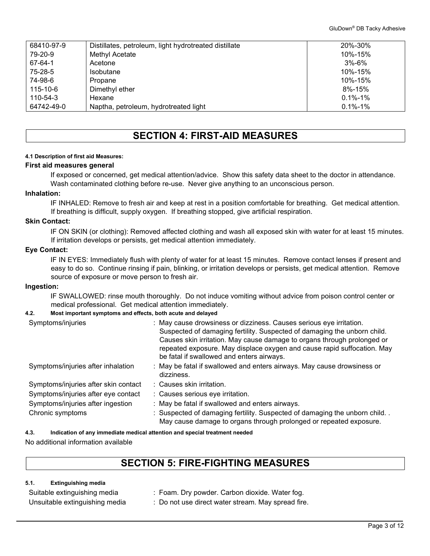| 68410-97-9 | Distillates, petroleum, light hydrotreated distillate | 20%-30%       |
|------------|-------------------------------------------------------|---------------|
| 79-20-9    | Methyl Acetate                                        | 10%-15%       |
| 67-64-1    | Acetone                                               | $3% - 6%$     |
| 75-28-5    | <b>Isobutane</b>                                      | 10%-15%       |
| 74-98-6    | Propane                                               | 10%-15%       |
| 115-10-6   | Dimethyl ether                                        | 8%-15%        |
| 110-54-3   | Hexane                                                | $0.1\% - 1\%$ |
| 64742-49-0 | Naptha, petroleum, hydrotreated light                 | $0.1\% - 1\%$ |

### SECTION 4: FIRST-AID MEASURES

### 4.1 Description of first aid Measures:

### First aid measures general

If exposed or concerned, get medical attention/advice. Show this safety data sheet to the doctor in attendance. Wash contaminated clothing before re-use. Never give anything to an unconscious person.

### Inhalation:

IF INHALED: Remove to fresh air and keep at rest in a position comfortable for breathing. Get medical attention. If breathing is difficult, supply oxygen. If breathing stopped, give artificial respiration.

### Skin Contact:

IF ON SKIN (or clothing): Removed affected clothing and wash all exposed skin with water for at least 15 minutes. If irritation develops or persists, get medical attention immediately.

### Eye Contact:

IF IN EYES: Immediately flush with plenty of water for at least 15 minutes. Remove contact lenses if present and easy to do so. Continue rinsing if pain, blinking, or irritation develops or persists, get medical attention. Remove source of exposure or move person to fresh air.

### Ingestion:

IF SWALLOWED: rinse mouth thoroughly. Do not induce vomiting without advice from poison control center or medical professional. Get medical attention immediately.

### 4.2. Most important symptoms and effects, both acute and delayed

| Symptoms/injuries                    | : May cause drowsiness or dizziness. Causes serious eye irritation.<br>Suspected of damaging fertility. Suspected of damaging the unborn child.<br>Causes skin irritation. May cause damage to organs through prolonged or<br>repeated exposure. May displace oxygen and cause rapid suffocation. May<br>be fatal if swallowed and enters airways. |
|--------------------------------------|----------------------------------------------------------------------------------------------------------------------------------------------------------------------------------------------------------------------------------------------------------------------------------------------------------------------------------------------------|
| Symptoms/injuries after inhalation   | : May be fatal if swallowed and enters airways. May cause drowsiness or<br>dizziness.                                                                                                                                                                                                                                                              |
| Symptoms/injuries after skin contact | : Causes skin irritation.                                                                                                                                                                                                                                                                                                                          |
| Symptoms/injuries after eye contact  | : Causes serious eye irritation.                                                                                                                                                                                                                                                                                                                   |
| Symptoms/injuries after ingestion    | : May be fatal if swallowed and enters airways.                                                                                                                                                                                                                                                                                                    |
| Chronic symptoms                     | : Suspected of damaging fertility. Suspected of damaging the unborn child<br>May cause damage to organs through prolonged or repeated exposure.                                                                                                                                                                                                    |

#### 4.3. Indication of any immediate medical attention and special treatment needed

No additional information available

### SECTION 5: FIRE-FIGHTING MEASURES

#### 5.1. Extinguishing media

- 
- Suitable extinguishing media : Foam. Dry powder. Carbon dioxide. Water fog.
- Unsuitable extinguishing media : Do not use direct water stream. May spread fire.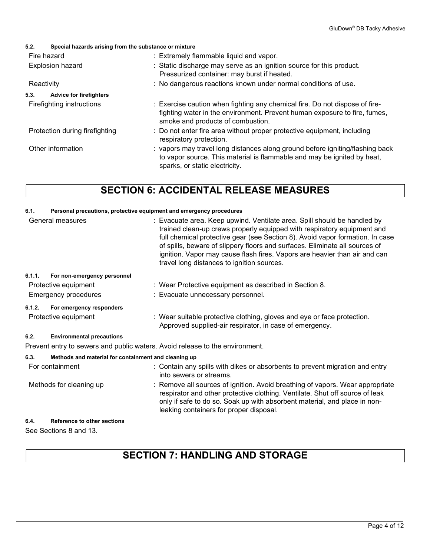### 5.2. Special hazards arising from the substance or mixture

| : Extremely flammable liquid and vapor.                                                                                                                                                       |
|-----------------------------------------------------------------------------------------------------------------------------------------------------------------------------------------------|
| : Static discharge may serve as an ignition source for this product.<br>Pressurized container: may burst if heated.                                                                           |
| : No dangerous reactions known under normal conditions of use.                                                                                                                                |
|                                                                                                                                                                                               |
| : Exercise caution when fighting any chemical fire. Do not dispose of fire-<br>fighting water in the environment. Prevent human exposure to fire, fumes,<br>smoke and products of combustion. |
| : Do not enter fire area without proper protective equipment, including<br>respiratory protection.                                                                                            |
| : vapors may travel long distances along ground before igniting/flashing back<br>to vapor source. This material is flammable and may be ignited by heat,<br>sparks, or static electricity.    |
|                                                                                                                                                                                               |

### SECTION 6: ACCIDENTAL RELEASE MEASURES

#### 6.1. Personal precautions, protective equipment and emergency procedures

| General measures |                                                      | : Evacuate area. Keep upwind. Ventilate area. Spill should be handled by<br>trained clean-up crews properly equipped with respiratory equipment and                                                                                                                                      |
|------------------|------------------------------------------------------|------------------------------------------------------------------------------------------------------------------------------------------------------------------------------------------------------------------------------------------------------------------------------------------|
|                  |                                                      | full chemical protective gear (see Section 8). Avoid vapor formation. In case<br>of spills, beware of slippery floors and surfaces. Eliminate all sources of<br>ignition. Vapor may cause flash fires. Vapors are heavier than air and can<br>travel long distances to ignition sources. |
| 6.1.1.           | For non-emergency personnel                          |                                                                                                                                                                                                                                                                                          |
|                  | Protective equipment                                 | : Wear Protective equipment as described in Section 8.                                                                                                                                                                                                                                   |
|                  | Emergency procedures                                 | : Evacuate unnecessary personnel.                                                                                                                                                                                                                                                        |
| 6.1.2.           | For emergency responders                             |                                                                                                                                                                                                                                                                                          |
|                  | Protective equipment                                 | : Wear suitable protective clothing, gloves and eye or face protection.                                                                                                                                                                                                                  |
|                  |                                                      | Approved supplied-air respirator, in case of emergency.                                                                                                                                                                                                                                  |
| 6.2.             | <b>Environmental precautions</b>                     |                                                                                                                                                                                                                                                                                          |
|                  |                                                      | Prevent entry to sewers and public waters. Avoid release to the environment.                                                                                                                                                                                                             |
| 6.3.             | Methods and material for containment and cleaning up |                                                                                                                                                                                                                                                                                          |
|                  | For containment                                      | : Contain any spills with dikes or absorbents to prevent migration and entry<br>into sewers or streams.                                                                                                                                                                                  |
|                  | Methods for cleaning up                              | : Remove all sources of ignition. Avoid breathing of vapors. Wear appropriate<br>respirator and other protective clothing. Ventilate. Shut off source of leak<br>only if safe to do so. Soak up with absorbent material, and place in non-<br>leaking containers for proper disposal.    |
| 6.4.             | Reference to other sections                          |                                                                                                                                                                                                                                                                                          |
|                  | See Sections 8 and 13                                |                                                                                                                                                                                                                                                                                          |

See Sections 8 and 13.

### SECTION 7: HANDLING AND STORAGE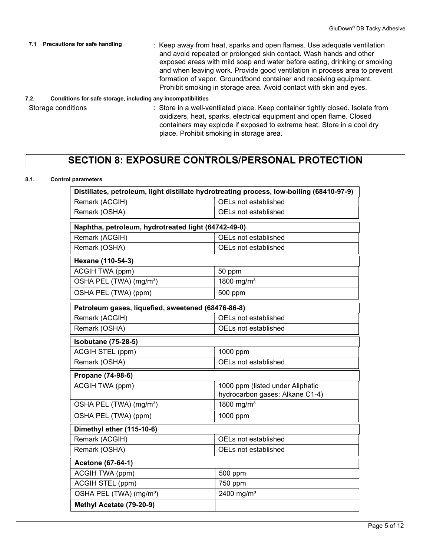| 7.1 Precautions for safe handling                             | : Keep away from heat, sparks and open flames. Use adequate ventilation    |
|---------------------------------------------------------------|----------------------------------------------------------------------------|
|                                                               | and avoid repeated or prolonged skin contact. Wash hands and other         |
|                                                               | exposed areas with mild soap and water before eating, drinking or smoking  |
|                                                               | and when leaving work. Provide good ventilation in process area to prevent |
|                                                               | formation of vapor. Ground/bond container and receiving equipment.         |
|                                                               | Prohibit smoking in storage area. Avoid contact with skin and eyes.        |
| Conditiona for agfa atoraga, ingluding any incompatibilities. |                                                                            |

#### 7.2. Conditions for safe storage, including any incompatibilities

Storage conditions : Store in a well-ventilated place. Keep container tightly closed. Isolate from oxidizers, heat, sparks, electrical equipment and open flame. Closed containers may explode if exposed to extreme heat. Store in a cool dry place. Prohibit smoking in storage area.

### SECTION 8: EXPOSURE CONTROLS/PERSONAL PROTECTION

#### 8.1. Control parameters

| Distillates, petroleum, light distillate hydrotreating process, low-boiling (68410-97-9) |                                                                     |  |
|------------------------------------------------------------------------------------------|---------------------------------------------------------------------|--|
| Remark (ACGIH)                                                                           | OELs not established                                                |  |
| Remark (OSHA)                                                                            | OELs not established                                                |  |
| Naphtha, petroleum, hydrotreated light (64742-49-0)                                      |                                                                     |  |
| Remark (ACGIH)                                                                           | OELs not established                                                |  |
| Remark (OSHA)                                                                            | OELs not established                                                |  |
| Hexane (110-54-3)                                                                        |                                                                     |  |
| <b>ACGIH TWA (ppm)</b>                                                                   | 50 ppm                                                              |  |
| OSHA PEL (TWA) (mg/m <sup>3</sup> )                                                      | 1800 mg/m <sup>3</sup>                                              |  |
| OSHA PEL (TWA) (ppm)                                                                     | 500 ppm                                                             |  |
| Petroleum gases, liquefied, sweetened (68476-86-8)                                       |                                                                     |  |
| Remark (ACGIH)                                                                           | OELs not established                                                |  |
| Remark (OSHA)                                                                            | OELs not established                                                |  |
| <b>Isobutane (75-28-5)</b>                                                               |                                                                     |  |
| <b>ACGIH STEL (ppm)</b>                                                                  | 1000 ppm                                                            |  |
| Remark (OSHA)                                                                            | OELs not established                                                |  |
| Propane (74-98-6)                                                                        |                                                                     |  |
| <b>ACGIH TWA (ppm)</b>                                                                   | 1000 ppm (listed under Aliphatic<br>hydrocarbon gases: Alkane C1-4) |  |
| OSHA PEL (TWA) (mg/m <sup>3</sup> )                                                      | 1800 mg/m <sup>3</sup>                                              |  |
| OSHA PEL (TWA) (ppm)                                                                     | 1000 ppm                                                            |  |
| Dimethyl ether (115-10-6)                                                                |                                                                     |  |
| Remark (ACGIH)                                                                           | OELs not established                                                |  |
| Remark (OSHA)                                                                            | OELs not established                                                |  |
| Acetone (67-64-1)                                                                        |                                                                     |  |
| <b>ACGIH TWA (ppm)</b>                                                                   | 500 ppm                                                             |  |
| <b>ACGIH STEL (ppm)</b>                                                                  | 750 ppm                                                             |  |
| OSHA PEL (TWA) (mg/m <sup>3</sup> )                                                      | 2400 mg/m <sup>3</sup>                                              |  |
| Methyl Acetate (79-20-9)                                                                 |                                                                     |  |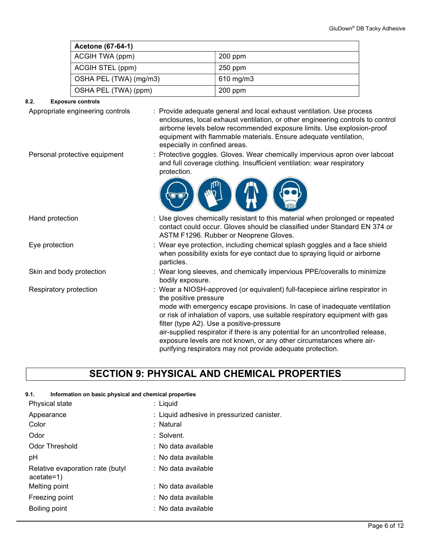| <b>Acetone (67-64-1)</b> |                |
|--------------------------|----------------|
| ACGIH TWA (ppm)          | 200 ppm        |
| ACGIH STEL (ppm)         | 250 ppm        |
| OSHA PEL (TWA) (mg/m3)   | $610$ mg/m $3$ |
| OSHA PEL (TWA) (ppm)     | $200$ ppm      |

### 8.2. Exposure controls

| Appropriate engineering controls | : Provide adequate general and local exhaust ventilation. Use process<br>enclosures, local exhaust ventilation, or other engineering controls to control<br>airborne levels below recommended exposure limits. Use explosion-proof<br>equipment with flammable materials. Ensure adequate ventilation, |
|----------------------------------|--------------------------------------------------------------------------------------------------------------------------------------------------------------------------------------------------------------------------------------------------------------------------------------------------------|
| Personal protective equipment    | especially in confined areas.<br>Protective goggles. Gloves. Wear chemically impervious apron over labcoat<br>and full coverage clothing. Insufficient ventilation: wear respiratory<br>protection.                                                                                                    |
|                                  |                                                                                                                                                                                                                                                                                                        |
| Hand protection                  | : Use gloves chemically resistant to this material when prolonged or repeated<br>contact could occur. Gloves should be classified under Standard EN 374 or<br>ASTM F1296. Rubber or Neoprene Gloves.                                                                                                   |
| Eye protection                   | : Wear eye protection, including chemical splash goggles and a face shield<br>when possibility exists for eye contact due to spraying liquid or airborne<br>particles.                                                                                                                                 |
| Skin and body protection         | : Wear long sleeves, and chemically impervious PPE/coveralls to minimize<br>bodily exposure.                                                                                                                                                                                                           |
| Respiratory protection           | : Wear a NIOSH-approved (or equivalent) full-facepiece airline respirator in<br>the positive pressure                                                                                                                                                                                                  |
|                                  | mode with emergency escape provisions. In case of inadequate ventilation<br>or risk of inhalation of vapors, use suitable respiratory equipment with gas<br>filter (type A2). Use a positive-pressure                                                                                                  |
|                                  | air-supplied respirator if there is any potential for an uncontrolled release,<br>exposure levels are not known, or any other circumstances where air-<br>purifying respirators may not provide adequate protection.                                                                                   |

### SECTION 9: PHYSICAL AND CHEMICAL PROPERTIES

#### 9.1. Information on basic physical and chemical properties

| Physical state                                   | : Liquid                                   |
|--------------------------------------------------|--------------------------------------------|
| Appearance                                       | : Liquid adhesive in pressurized canister. |
| Color                                            | : Natural                                  |
| Odor                                             | : Solvent.                                 |
| Odor Threshold                                   | : No data available                        |
| рH                                               | $\pm$ No data available.                   |
| Relative evaporation rate (butyl<br>$acetate=1)$ | : No data available                        |
| Melting point                                    | : No data available                        |
| Freezing point                                   | : No data available                        |
| Boiling point                                    | : No data available                        |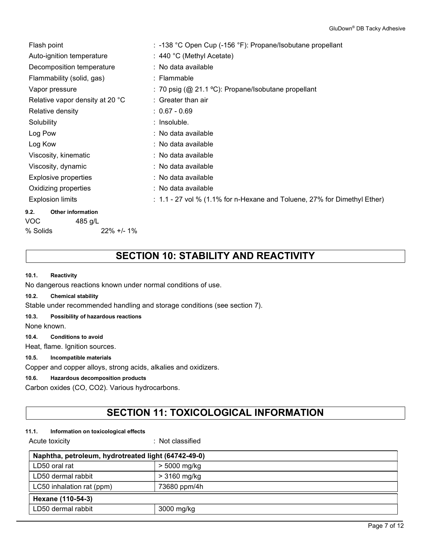| Flash point                      | : -138 °C Open Cup (-156 °F): Propane/Isobutane propellant               |
|----------------------------------|--------------------------------------------------------------------------|
| Auto-ignition temperature        | : 440 °C (Methyl Acetate)                                                |
| Decomposition temperature        | : No data available                                                      |
| Flammability (solid, gas)        | : Flammable                                                              |
| Vapor pressure                   | : 70 psig ( $@$ 21.1 °C): Propane/Isobutane propellant                   |
| Relative vapor density at 20 °C  | : Greater than air                                                       |
| Relative density                 | $: 0.67 - 0.69$                                                          |
| Solubility                       | : Insoluble.                                                             |
| Log Pow                          | : No data available                                                      |
| Log Kow                          | : No data available                                                      |
| Viscosity, kinematic             | : No data available                                                      |
| Viscosity, dynamic               | : No data available                                                      |
| <b>Explosive properties</b>      | : No data available                                                      |
| Oxidizing properties             | : No data available                                                      |
| <b>Explosion limits</b>          | : 1.1 - 27 vol % (1.1% for n-Hexane and Toluene, 27% for Dimethyl Ether) |
| 9.2.<br><b>Other information</b> |                                                                          |
| <b>VOC</b><br>485 g/L            |                                                                          |

% Solids 22% +/- 1%

### SECTION 10: STABILITY AND REACTIVITY

### 10.1. Reactivity

No dangerous reactions known under normal conditions of use.

#### 10.2. Chemical stability

Stable under recommended handling and storage conditions (see section 7).

### 10.3. Possibility of hazardous reactions

None known.

10.4. Conditions to avoid

Heat, flame. Ignition sources.

#### 10.5. Incompatible materials

Copper and copper alloys, strong acids, alkalies and oxidizers.

### 10.6. Hazardous decomposition products

Carbon oxides (CO, CO2). Various hydrocarbons.

### SECTION 11: TOXICOLOGICAL INFORMATION

### 11.1. Information on toxicological effects

Acute toxicity **in the case of the CALC** in Not classified

| Naphtha, petroleum, hydrotreated light (64742-49-0) |                |  |
|-----------------------------------------------------|----------------|--|
| LD50 oral rat                                       | $> 5000$ mg/kg |  |
| LD50 dermal rabbit                                  | $>$ 3160 mg/kg |  |
| LC50 inhalation rat (ppm)                           | 73680 ppm/4h   |  |
| Hexane (110-54-3)                                   |                |  |
| LD50 dermal rabbit                                  | 3000 mg/kg     |  |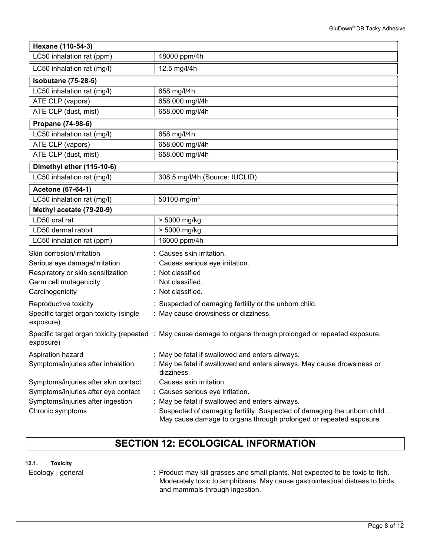| Hexane (110-54-3)                                   |                                                                                                                                               |  |  |
|-----------------------------------------------------|-----------------------------------------------------------------------------------------------------------------------------------------------|--|--|
| LC50 inhalation rat (ppm)                           | 48000 ppm/4h                                                                                                                                  |  |  |
| LC50 inhalation rat (mg/l)                          | 12.5 mg/l/4h                                                                                                                                  |  |  |
| <b>Isobutane (75-28-5)</b>                          |                                                                                                                                               |  |  |
| LC50 inhalation rat (mg/l)                          | 658 mg/l/4h                                                                                                                                   |  |  |
| ATE CLP (vapors)                                    | 658.000 mg/l/4h                                                                                                                               |  |  |
| ATE CLP (dust, mist)                                | 658.000 mg/l/4h                                                                                                                               |  |  |
| Propane (74-98-6)                                   |                                                                                                                                               |  |  |
| LC50 inhalation rat (mg/l)                          | 658 mg/l/4h                                                                                                                                   |  |  |
| ATE CLP (vapors)                                    | 658.000 mg/l/4h                                                                                                                               |  |  |
| ATE CLP (dust, mist)                                | 658.000 mg/l/4h                                                                                                                               |  |  |
| Dimethyl ether (115-10-6)                           |                                                                                                                                               |  |  |
| LC50 inhalation rat (mg/l)                          | 308.5 mg/l/4h (Source: IUCLID)                                                                                                                |  |  |
| Acetone (67-64-1)                                   |                                                                                                                                               |  |  |
| LC50 inhalation rat (mg/l)                          | 50100 mg/m <sup>3</sup>                                                                                                                       |  |  |
| Methyl acetate (79-20-9)                            |                                                                                                                                               |  |  |
| LD50 oral rat                                       | > 5000 mg/kg                                                                                                                                  |  |  |
| LD50 dermal rabbit                                  | > 5000 mg/kg                                                                                                                                  |  |  |
| LC50 inhalation rat (ppm)                           | 16000 ppm/4h                                                                                                                                  |  |  |
| Skin corrosion/irritation                           | : Causes skin irritation.                                                                                                                     |  |  |
| Serious eye damage/irritation                       | Causes serious eye irritation.                                                                                                                |  |  |
| Respiratory or skin sensitization                   | : Not classified                                                                                                                              |  |  |
| Germ cell mutagenicity                              | Not classified.                                                                                                                               |  |  |
| Carcinogenicity                                     | : Not classified.                                                                                                                             |  |  |
| Reproductive toxicity                               | : Suspected of damaging fertility or the unborn child.                                                                                        |  |  |
| Specific target organ toxicity (single<br>exposure) | : May cause drowsiness or dizziness.                                                                                                          |  |  |
| exposure)                                           | Specific target organ toxicity (repeated : May cause damage to organs through prolonged or repeated exposure.                                 |  |  |
| Aspiration hazard                                   | : May be fatal if swallowed and enters airways                                                                                                |  |  |
| Symptoms/injuries after inhalation                  | : May be fatal if swallowed and enters airways. May cause drowsiness or<br>dizziness.                                                         |  |  |
| Symptoms/injuries after skin contact                | : Causes skin irritation.                                                                                                                     |  |  |
| Symptoms/injuries after eye contact                 | : Causes serious eye irritation.                                                                                                              |  |  |
| Symptoms/injuries after ingestion                   | May be fatal if swallowed and enters airways.                                                                                                 |  |  |
| Chronic symptoms                                    | Suspected of damaging fertility. Suspected of damaging the unborn child<br>May cause damage to organs through prolonged or repeated exposure. |  |  |

### SECTION 12: ECOLOGICAL INFORMATION

# 12.1. Toxicity

Ecology - general : Product may kill grasses and small plants. Not expected to be toxic to fish. Moderately toxic to amphibians. May cause gastrointestinal distress to birds and mammals through ingestion.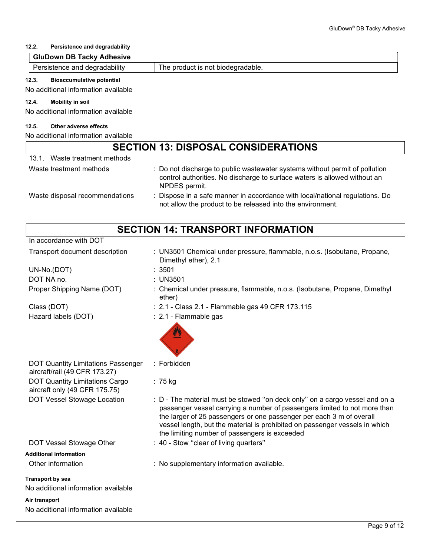### 12.2. Persistence and degradability

|       | <b>GluDown DB Tacky Adhesive</b>    |                                   |  |
|-------|-------------------------------------|-----------------------------------|--|
|       | Persistence and degradability       | The product is not biodegradable. |  |
| 12.3. | <b>Bioaccumulative potential</b>    |                                   |  |
|       | No additional information available |                                   |  |
| 12.4. | Mobility in soil                    |                                   |  |

No additional information available

#### 12.5. Other adverse effects

| No additional information available<br><b>SECTION 13: DISPOSAL CONSIDERATIONS</b> |                                                                                                                                                                           |  |  |
|-----------------------------------------------------------------------------------|---------------------------------------------------------------------------------------------------------------------------------------------------------------------------|--|--|
|                                                                                   |                                                                                                                                                                           |  |  |
| Waste treatment methods                                                           | : Do not discharge to public wastewater systems without permit of pollution<br>control authorities. No discharge to surface waters is allowed without an<br>NPDES permit. |  |  |
| Waste disposal recommendations                                                    | : Dispose in a safe manner in accordance with local/national regulations. Do<br>not allow the product to be released into the environment.                                |  |  |

| <b>SECTION 14: TRANSPORT INFORMATION</b>                                   |                                                                                                                                                                                                                                                                                                                                                                  |  |  |
|----------------------------------------------------------------------------|------------------------------------------------------------------------------------------------------------------------------------------------------------------------------------------------------------------------------------------------------------------------------------------------------------------------------------------------------------------|--|--|
| In accordance with DOT                                                     |                                                                                                                                                                                                                                                                                                                                                                  |  |  |
| Transport document description                                             | : UN3501 Chemical under pressure, flammable, n.o.s. (Isobutane, Propane,<br>Dimethyl ether), 2.1                                                                                                                                                                                                                                                                 |  |  |
| UN-No.(DOT)                                                                | : 3501                                                                                                                                                                                                                                                                                                                                                           |  |  |
| DOT NA no.                                                                 | : UN3501                                                                                                                                                                                                                                                                                                                                                         |  |  |
| Proper Shipping Name (DOT)                                                 | : Chemical under pressure, flammable, n.o.s. (Isobutane, Propane, Dimethyl<br>ether)                                                                                                                                                                                                                                                                             |  |  |
| Class (DOT)                                                                | : 2.1 - Class 2.1 - Flammable gas 49 CFR 173.115                                                                                                                                                                                                                                                                                                                 |  |  |
| Hazard labels (DOT)                                                        | : 2.1 - Flammable gas                                                                                                                                                                                                                                                                                                                                            |  |  |
| <b>DOT Quantity Limitations Passenger</b><br>aircraft/rail (49 CFR 173.27) | : Forbidden                                                                                                                                                                                                                                                                                                                                                      |  |  |
| <b>DOT Quantity Limitations Cargo</b><br>aircraft only (49 CFR 175.75)     | $: 75$ kg                                                                                                                                                                                                                                                                                                                                                        |  |  |
| DOT Vessel Stowage Location                                                | : D - The material must be stowed "on deck only" on a cargo vessel and on a<br>passenger vessel carrying a number of passengers limited to not more than<br>the larger of 25 passengers or one passenger per each 3 m of overall<br>vessel length, but the material is prohibited on passenger vessels in which<br>the limiting number of passengers is exceeded |  |  |
| DOT Vessel Stowage Other                                                   | : 40 - Stow "clear of living quarters"                                                                                                                                                                                                                                                                                                                           |  |  |
| <b>Additional information</b>                                              |                                                                                                                                                                                                                                                                                                                                                                  |  |  |
| Other information                                                          | : No supplementary information available.                                                                                                                                                                                                                                                                                                                        |  |  |
| Transport by sea                                                           |                                                                                                                                                                                                                                                                                                                                                                  |  |  |
| No additional information available                                        |                                                                                                                                                                                                                                                                                                                                                                  |  |  |
| Air transport                                                              |                                                                                                                                                                                                                                                                                                                                                                  |  |  |
| No additional information available                                        |                                                                                                                                                                                                                                                                                                                                                                  |  |  |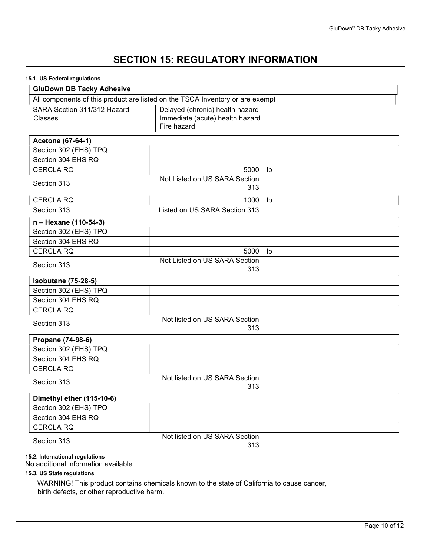### SECTION 15: REGULATORY INFORMATION

### 15.1. US Federal regulations

| <b>GluDown DB Tacky Adhesive</b>                                              |                                 |    |  |
|-------------------------------------------------------------------------------|---------------------------------|----|--|
| All components of this product are listed on the TSCA Inventory or are exempt |                                 |    |  |
| SARA Section 311/312 Hazard                                                   | Delayed (chronic) health hazard |    |  |
| Classes                                                                       | Immediate (acute) health hazard |    |  |
|                                                                               | Fire hazard                     |    |  |
| Acetone (67-64-1)                                                             |                                 |    |  |
| Section 302 (EHS) TPQ                                                         |                                 |    |  |
| Section 304 EHS RQ                                                            |                                 |    |  |
| <b>CERCLA RQ</b>                                                              | 5000                            | Ib |  |
| Section 313                                                                   | Not Listed on US SARA Section   |    |  |
|                                                                               | 313                             |    |  |
| <b>CERCLA RQ</b>                                                              | 1000                            | lb |  |
| Section 313                                                                   | Listed on US SARA Section 313   |    |  |
| n - Hexane (110-54-3)                                                         |                                 |    |  |
| Section 302 (EHS) TPQ                                                         |                                 |    |  |
| Section 304 EHS RQ                                                            |                                 |    |  |
| <b>CERCLA RQ</b>                                                              | 5000                            | lb |  |
| Section 313                                                                   | Not Listed on US SARA Section   |    |  |
|                                                                               | 313                             |    |  |
| <b>Isobutane (75-28-5)</b>                                                    |                                 |    |  |
| Section 302 (EHS) TPQ                                                         |                                 |    |  |
| Section 304 EHS RQ                                                            |                                 |    |  |
| <b>CERCLA RQ</b>                                                              |                                 |    |  |
| Section 313                                                                   | Not listed on US SARA Section   |    |  |
|                                                                               | 313                             |    |  |
| Propane (74-98-6)                                                             |                                 |    |  |
| Section 302 (EHS) TPQ                                                         |                                 |    |  |
| Section 304 EHS RQ                                                            |                                 |    |  |
| <b>CERCLA RQ</b>                                                              |                                 |    |  |
| Section 313                                                                   | Not listed on US SARA Section   |    |  |
|                                                                               | 313                             |    |  |
| Dimethyl ether (115-10-6)                                                     |                                 |    |  |
| Section 302 (EHS) TPQ                                                         |                                 |    |  |
| Section 304 EHS RQ                                                            |                                 |    |  |
| <b>CERCLA RQ</b>                                                              |                                 |    |  |
| Section 313                                                                   | Not listed on US SARA Section   |    |  |
|                                                                               | 313                             |    |  |

### 15.2. International regulations

No additional information available.

### 15.3. US State regulations

 WARNING! This product contains chemicals known to the state of California to cause cancer, birth defects, or other reproductive harm.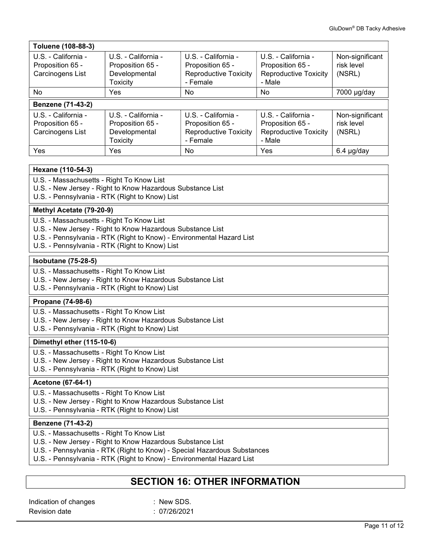| Toluene (108-88-3)                                          |                                                                             |                                                                                     |                                                                                   |                                         |
|-------------------------------------------------------------|-----------------------------------------------------------------------------|-------------------------------------------------------------------------------------|-----------------------------------------------------------------------------------|-----------------------------------------|
| U.S. - California -<br>Proposition 65 -<br>Carcinogens List | U.S. - California -<br>Proposition 65 -<br>Developmental<br>Toxicity        | U.S. - California -<br>Proposition 65 -<br><b>Reproductive Toxicity</b><br>- Female | U.S. - California -<br>Proposition 65 -<br><b>Reproductive Toxicity</b><br>- Male | Non-significant<br>risk level<br>(NSRL) |
| No.                                                         | Yes                                                                         | No                                                                                  | No.                                                                               | 7000 µg/day                             |
| <b>Benzene (71-43-2)</b>                                    |                                                                             |                                                                                     |                                                                                   |                                         |
| U.S. - California -<br>Proposition 65 -<br>Carcinogens List | U.S. - California -<br>Proposition 65 -<br>Developmental<br><b>Toxicity</b> | U.S. - California -<br>Proposition 65 -<br><b>Reproductive Toxicity</b><br>- Female | U.S. - California -<br>Proposition 65 -<br><b>Reproductive Toxicity</b><br>- Male | Non-significant<br>risk level<br>(NSRL) |
| Yes                                                         | Yes                                                                         | No                                                                                  | Yes                                                                               | $6.4$ µg/day                            |

### Hexane (110-54-3)

U.S. - Massachusetts - Right To Know List

U.S. - New Jersey - Right to Know Hazardous Substance List

U.S. - Pennsylvania - RTK (Right to Know) List

### Methyl Acetate (79-20-9)

- U.S. Massachusetts Right To Know List
- U.S. New Jersey Right to Know Hazardous Substance List
- U.S. Pennsylvania RTK (Right to Know) Environmental Hazard List
- U.S. Pennsylvania RTK (Right to Know) List

### Isobutane (75-28-5)

- U.S. Massachusetts Right To Know List
- U.S. New Jersey Right to Know Hazardous Substance List
- U.S. Pennsylvania RTK (Right to Know) List

### Propane (74-98-6)

- U.S. Massachusetts Right To Know List
- U.S. New Jersey Right to Know Hazardous Substance List
- U.S. Pennsylvania RTK (Right to Know) List

### Dimethyl ether (115-10-6)

- U.S. Massachusetts Right To Know List
- U.S. New Jersey Right to Know Hazardous Substance List
- U.S. Pennsylvania RTK (Right to Know) List

### Acetone (67-64-1)

- U.S. Massachusetts Right To Know List
- U.S. New Jersey Right to Know Hazardous Substance List
- U.S. Pennsylvania RTK (Right to Know) List

### Benzene (71-43-2)

- U.S. Massachusetts Right To Know List
- U.S. New Jersey Right to Know Hazardous Substance List
- U.S. Pennsylvania RTK (Right to Know) Special Hazardous Substances
- U.S. Pennsylvania RTK (Right to Know) Environmental Hazard List

### SECTION 16: OTHER INFORMATION

| Indication of changes |
|-----------------------|
| <b>Revision date</b>  |

: New SDS.  $: 07/26/2021$